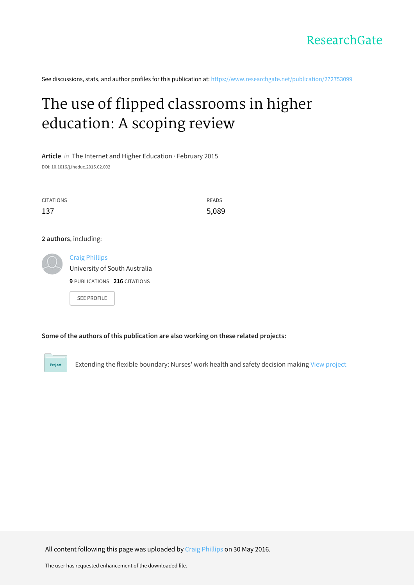See discussions, stats, and author profiles for this publication at: [https://www.researchgate.net/publication/272753099](https://www.researchgate.net/publication/272753099_The_use_of_flipped_classrooms_in_higher_education_A_scoping_review?enrichId=rgreq-00e0f90e1f166cd454520dff6cc3c189-XXX&enrichSource=Y292ZXJQYWdlOzI3Mjc1MzA5OTtBUzozNjczOTg5MTQ5MzY4MzJAMTQ2NDYwNjEzNTk0MQ%3D%3D&el=1_x_2&_esc=publicationCoverPdf)

# The use of flipped [classrooms](https://www.researchgate.net/publication/272753099_The_use_of_flipped_classrooms_in_higher_education_A_scoping_review?enrichId=rgreq-00e0f90e1f166cd454520dff6cc3c189-XXX&enrichSource=Y292ZXJQYWdlOzI3Mjc1MzA5OTtBUzozNjczOTg5MTQ5MzY4MzJAMTQ2NDYwNjEzNTk0MQ%3D%3D&el=1_x_3&_esc=publicationCoverPdf) in higher education: A scoping review

**Article** in The Internet and Higher Education · February 2015

DOI: 10.1016/j.iheduc.2015.02.002

SEE [PROFILE](https://www.researchgate.net/profile/Craig_Phillips4?enrichId=rgreq-00e0f90e1f166cd454520dff6cc3c189-XXX&enrichSource=Y292ZXJQYWdlOzI3Mjc1MzA5OTtBUzozNjczOTg5MTQ5MzY4MzJAMTQ2NDYwNjEzNTk0MQ%3D%3D&el=1_x_7&_esc=publicationCoverPdf)

| <b>CITATIONS</b><br>137 |                                                                                        | <b>READS</b><br>5,089 |
|-------------------------|----------------------------------------------------------------------------------------|-----------------------|
|                         | 2 authors, including:                                                                  |                       |
| $\lambda$               | <b>Craig Phillips</b><br>University of South Australia<br>9 PUBLICATIONS 216 CITATIONS |                       |

**Some of the authors of this publication are also working on these related projects:**

Project

Extending the flexible boundary: Nurses' work health and safety decision making View [project](https://www.researchgate.net/project/Extending-the-flexible-boundary-Nurses-work-health-and-safety-decision-making?enrichId=rgreq-00e0f90e1f166cd454520dff6cc3c189-XXX&enrichSource=Y292ZXJQYWdlOzI3Mjc1MzA5OTtBUzozNjczOTg5MTQ5MzY4MzJAMTQ2NDYwNjEzNTk0MQ%3D%3D&el=1_x_9&_esc=publicationCoverPdf)

All content following this page was uploaded by Craig [Phillips](https://www.researchgate.net/profile/Craig_Phillips4?enrichId=rgreq-00e0f90e1f166cd454520dff6cc3c189-XXX&enrichSource=Y292ZXJQYWdlOzI3Mjc1MzA5OTtBUzozNjczOTg5MTQ5MzY4MzJAMTQ2NDYwNjEzNTk0MQ%3D%3D&el=1_x_10&_esc=publicationCoverPdf) on 30 May 2016.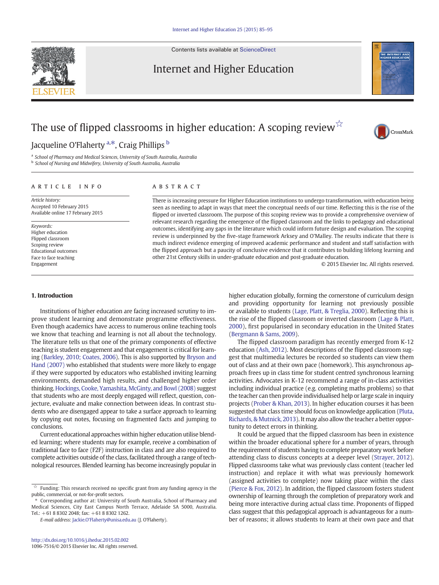Contents lists available at [ScienceDirect](http://www.sciencedirect.com/science/journal/10967516)





## The use of flipped classrooms in higher education: A scoping review $\sqrt{x}$



## Jacqueline O'Flaherty <sup>a,\*</sup>, Craig Phillips <sup>b</sup>

<sup>a</sup> School of Pharmacy and Medical Sciences, University of South Australia, Australia

b School of Nursing and Midwifery, University of South Australia, Australia

#### article info abstract

Article history: Accepted 10 February 2015 Available online 17 February 2015

Keywords: Higher education Flipped classroom Scoping review Educational outcomes Face to face teaching Engagement

There is increasing pressure for Higher Education institutions to undergo transformation, with education being seen as needing to adapt in ways that meet the conceptual needs of our time. Reflecting this is the rise of the flipped or inverted classroom. The purpose of this scoping review was to provide a comprehensive overview of relevant research regarding the emergence of the flipped classroom and the links to pedagogy and educational outcomes, identifying any gaps in the literature which could inform future design and evaluation. The scoping review is underpinned by the five-stage framework Arksey and O'Malley. The results indicate that there is much indirect evidence emerging of improved academic performance and student and staff satisfaction with the flipped approach but a paucity of conclusive evidence that it contributes to building lifelong learning and other 21st Century skills in under-graduate education and post-graduate education.

© 2015 Elsevier Inc. All rights reserved.

#### 1. Introduction

Institutions of higher education are facing increased scrutiny to improve student learning and demonstrate programme effectiveness. Even though academics have access to numerous online teaching tools we know that teaching and learning is not all about the technology. The literature tells us that one of the primary components of effective teaching is student engagement and that engagement is critical for learning [\(Barkley, 2010; Coates, 2006\)](#page-11-0). This is also supported by [Bryson and](#page-11-0) [Hand \(2007\)](#page-11-0) who established that students were more likely to engage if they were supported by educators who established inviting learning environments, demanded high results, and challenged higher order thinking. [Hockings, Cooke, Yamashita, McGinty, and Bowl \(2008\)](#page-11-0) suggest that students who are most deeply engaged will reflect, question, conjecture, evaluate and make connection between ideas. In contrast students who are disengaged appear to take a surface approach to learning by copying out notes, focusing on fragmented facts and jumping to conclusions.

Current educational approaches within higher education utilise blended learning; where students may for example, receive a combination of traditional face to face (F2F) instruction in class and are also required to complete activities outside of the class, facilitated through a range of technological resources. Blended learning has become increasingly popular in

higher education globally, forming the cornerstone of curriculum design and providing opportunity for learning not previously possible or available to students [\(Lage, Platt, & Treglia, 2000\)](#page-11-0). Reflecting this is the rise of the flipped classroom or inverted classroom [\(Lage & Platt,](#page-11-0) [2000\)](#page-11-0), first popularised in secondary education in the United States [\(Bergmann & Sams, 2009\)](#page-11-0).

The flipped classroom paradigm has recently emerged from K-12 education [\(Ash, 2012](#page-11-0)). Most descriptions of the flipped classroom suggest that multimedia lectures be recorded so students can view them out of class and at their own pace (homework). This asynchronous approach frees up in class time for student centred synchronous learning activities. Advocates in K-12 recommend a range of in-class activities including individual practice (e.g. completing maths problems) so that the teacher can then provide individualised help or large scale in inquiry projects [\(Prober & Khan, 2013\)](#page-11-0). In higher education courses it has been suggested that class time should focus on knowledge application ([Pluta,](#page-11-0) [Richards, & Mutnick, 2013\)](#page-11-0). It may also allow the teacher a better opportunity to detect errors in thinking.

It could be argued that the flipped classroom has been in existence within the broader educational sphere for a number of years, through the requirement of students having to complete preparatory work before attending class to discuss concepts at a deeper level ([Strayer, 2012](#page-11-0)). Flipped classrooms take what was previously class content (teacher led instruction) and replace it with what was previously homework (assigned activities to complete) now taking place within the class [\(Pierce & Fox, 2012\)](#page-11-0). In addition, the flipped classroom fosters student ownership of learning through the completion of preparatory work and being more interactive during actual class time. Proponents of flipped class suggest that this pedagogical approach is advantageous for a number of reasons; it allows students to learn at their own pace and that

Funding: This research received no specific grant from any funding agency in the public, commercial, or not-for-profit sectors.

Corresponding author at: University of South Australia, School of Pharmacy and Medical Sciences, City East Campus North Terrace, Adelaide SA 5000, Australia. Tel.:  $+61883022048$ ; fax:  $+61883021262$ .

E-mail address: [Jackie.O'Flaherty@unisa.edu.au](mailto:Jackie.O) (J. O'Flaherty).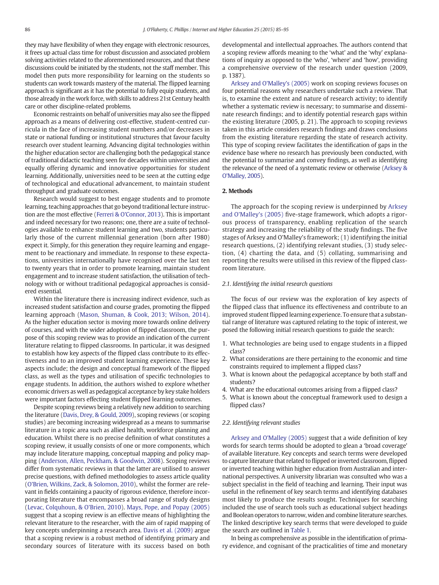they may have flexibility of when they engage with electronic resources, it frees up actual class time for robust discussion and associated problem solving activities related to the aforementioned resources, and that these discussions could be initiated by the students, not the staff member. This model then puts more responsibility for learning on the students so students can work towards mastery of the material. The flipped learning approach is significant as it has the potential to fully equip students, and those already in the work force, with skills to address 21st Century health care or other discipline-related problems.

Economic restraints on behalf of universities may also see the flipped approach as a means of delivering cost-effective, student-centred curricula in the face of increasing student numbers and/or decreases in state or national funding or institutional structures that favour faculty research over student learning. Advancing digital technologies within the higher education sector are challenging both the pedagogical stance of traditional didactic teaching seen for decades within universities and equally offering dynamic and innovative opportunities for student learning. Additionally, universities need to be seen at the cutting edge of technological and educational advancement, to maintain student throughput and graduate outcomes.

Research would suggest to best engage students and to promote learning, teaching approaches that go beyond traditional lecture instruction are the most effective [\(Ferreri & O'Connor, 2013](#page-11-0)). This is important and indeed necessary for two reasons; one, there are a suite of technologies available to enhance student learning and two, students particularly those of the current millennial generation (born after 1980) expect it. Simply, for this generation they require learning and engagement to be reactionary and immediate. In response to these expectations, universities internationally have recognised over the last ten to twenty years that in order to promote learning, maintain student engagement and to increase student satisfaction, the utilisation of technology with or without traditional pedagogical approaches is considered essential.

Within the literature there is increasing indirect evidence, such as increased student satisfaction and course grades, promoting the flipped learning approach [\(Mason, Shuman, & Cook, 2013; Wilson, 2014](#page-11-0)). As the higher education sector is moving more towards online delivery of courses, and with the wider adoption of flipped classroom, the purpose of this scoping review was to provide an indication of the current literature relating to flipped classrooms. In particular, it was designed to establish how key aspects of the flipped class contribute to its effectiveness and to an improved student learning experience. These key aspects include; the design and conceptual framework of the flipped class, as well as the types and utilisation of specific technologies to engage students. In addition, the authors wished to explore whether economic drivers as well as pedagogical acceptance by key stake holders were important factors effecting student flipped learning outcomes.

Despite scoping reviews being a relatively new addition to searching the literature [\(Davis, Drey, & Gould, 2009\)](#page-11-0), scoping reviews (or scoping studies) are becoming increasing widespread as a means to summarise literature in a topic area such as allied health, workforce planning and education. Whilst there is no precise definition of what constitutes a scoping review, it usually consists of one or more components, which may include literature mapping, conceptual mapping and policy mapping ([Anderson, Allen, Peckham, & Goodwin, 2008\)](#page-11-0). Scoping reviews differ from systematic reviews in that the latter are utilised to answer precise questions, with defined methodologies to assess article quality [\(O'Brien, Wilkins, Zack, & Solomon, 2010](#page-11-0)), whilst the former are relevant in fields containing a paucity of rigorous evidence, therefore incorporating literature that encompasses a broad range of study designs [\(Levac, Colquhoun, & O'Brien, 2010](#page-11-0)). [Mays, Pope, and Popay \(2005\)](#page-11-0) suggest that a scoping review is an effective means of highlighting the relevant literature to the researcher, with the aim of rapid mapping of key concepts underpinning a research area. [Davis et al. \(2009\)](#page-11-0) argue that a scoping review is a robust method of identifying primary and secondary sources of literature with its success based on both

developmental and intellectual approaches. The authors contend that a scoping review affords meaning to the 'what' and the 'why' explanations of inquiry as opposed to the 'who', 'where' and 'how', providing a comprehensive overview of the research under question (2009, p. 1387).

[Arksey and O'Malley's \(2005\)](#page-11-0) work on scoping reviews focuses on four potential reasons why researchers undertake such a review. That is, to examine the extent and nature of research activity; to identify whether a systematic review is necessary; to summarise and disseminate research findings; and to identify potential research gaps within the existing literature (2005, p. 21). The approach to scoping reviews taken in this article considers research findings and draws conclusions from the existing literature regarding the state of research activity. This type of scoping review facilitates the identification of gaps in the evidence base where no research has previously been conducted, with the potential to summarise and convey findings, as well as identifying the relevance of the need of a systematic review or otherwise [\(Arksey &](#page-11-0) [O'Malley, 2005](#page-11-0)).

#### 2. Methods

The approach for the scoping review is underpinned by [Arksey](#page-11-0) [and O'Malley's \(2005\)](#page-11-0) five-stage framework, which adopts a rigorous process of transparency, enabling replication of the search strategy and increasing the reliability of the study findings. The five stages of Arksey and O'Malley's framework; (1) identifying the initial research questions, (2) identifying relevant studies, (3) study selection, (4) charting the data, and (5) collating, summarising and reporting the results were utilised in this review of the flipped classroom literature.

#### 2.1. Identifying the initial research questions

The focus of our review was the exploration of key aspects of the flipped class that influence its effectiveness and contribute to an improved student flipped learning experience. To ensure that a substantial range of literature was captured relating to the topic of interest, we posed the following initial research questions to guide the search:

- 1. What technologies are being used to engage students in a flipped class?
- 2. What considerations are there pertaining to the economic and time constraints required to implement a flipped class?
- 3. What is known about the pedagogical acceptance by both staff and students?
- 4. What are the educational outcomes arising from a flipped class?
- 5. What is known about the conceptual framework used to design a flipped class?

#### 2.2. Identifying relevant studies

[Arksey and O'Malley \(2005\)](#page-11-0) suggest that a wide definition of key words for search terms should be adopted to glean a 'broad coverage' of available literature. Key concepts and search terms were developed to capture literature that related to flipped or inverted classroom, flipped or inverted teaching within higher education from Australian and international perspectives. A university librarian was consulted who was a subject specialist in the field of teaching and learning. Their input was useful in the refinement of key search terms and identifying databases most likely to produce the results sought. Techniques for searching included the use of search tools such as educational subject headings and Boolean operators to narrow, widen and combine literature searches. The linked descriptive key search terms that were developed to guide the search are outlined in [Table 1](#page-3-0).

In being as comprehensive as possible in the identification of primary evidence, and cognisant of the practicalities of time and monetary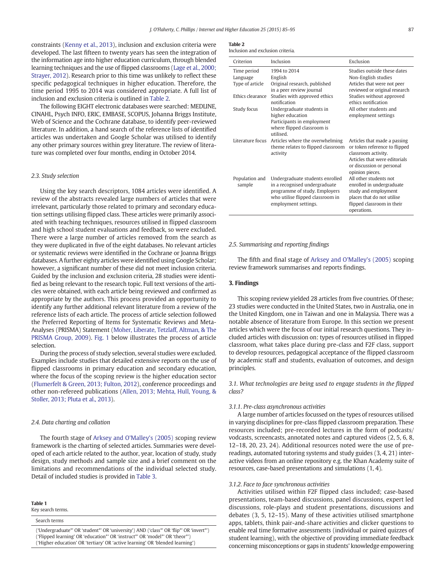<span id="page-3-0"></span>constraints [\(Kenny et al., 2013\)](#page-11-0), inclusion and exclusion criteria were developed. The last fifteen to twenty years has seen the integration of the information age into higher education curriculum, through blended learning techniques and the use of flipped classrooms [\(Lage et al., 2000;](#page-11-0) [Strayer, 2012\)](#page-11-0). Research prior to this time was unlikely to reflect these specific pedagogical techniques in higher education. Therefore, the time period 1995 to 2014 was considered appropriate. A full list of inclusion and exclusion criteria is outlined in Table 2.

The following EIGHT electronic databases were searched: MEDLINE, CINAHL, Psych INFO, ERIC, EMBASE, SCOPUS, Johanna Briggs Institute, Web of Science and the Cochrane database, to identify peer-reviewed literature. In addition, a hand search of the reference lists of identified articles was undertaken and Google Scholar was utilised to identify any other primary sources within grey literature. The review of literature was completed over four months, ending in October 2014.

#### 2.3. Study selection

Using the key search descriptors, 1084 articles were identified. A review of the abstracts revealed large numbers of articles that were irrelevant, particularly those related to primary and secondary education settings utilising flipped class. These articles were primarily associated with teaching techniques, resources utilised in flipped classroom and high school student evaluations and feedback, so were excluded. There were a large number of articles removed from the search as they were duplicated in five of the eight databases. No relevant articles or systematic reviews were identified in the Cochrane or Joanna Briggs databases. A further eighty articles were identified using Google Scholar; however, a significant number of these did not meet inclusion criteria. Guided by the inclusion and exclusion criteria, 28 studies were identified as being relevant to the research topic. Full text versions of the articles were obtained, with each article being reviewed and confirmed as appropriate by the authors. This process provided an opportunity to identify any further additional relevant literature from a review of the reference lists of each article. The process of article selection followed the Preferred Reporting of Items for Systematic Reviews and Meta-Analyses (PRISMA) Statement [\(Moher, Liberate, Tetzlaff, Altman, & The](#page-11-0) [PRISMA Group, 2009](#page-11-0)). [Fig. 1](#page-4-0) below illustrates the process of article selection.

During the process of study selection, several studies were excluded. Examples include studies that detailed extensive reports on the use of flipped classrooms in primary education and secondary education, where the focus of the scoping review is the higher education sector [\(Flumerfelt & Green, 2013; Fulton, 2012\)](#page-11-0), conference proceedings and other non-refereed publications [\(Allen, 2013; Mehta, Hull, Young, &](#page-11-0) [Stoller, 2013; Pluta et al., 2013\)](#page-11-0).

#### 2.4. Data charting and collation

The fourth stage of [Arksey and O'Malley's \(2005\)](#page-11-0) scoping review framework is the charting of selected articles. Summaries were developed of each article related to the author, year, location of study, study design, study methods and sample size and a brief comment on the limitations and recommendations of the individual selected study. Detail of included studies is provided in [Table 3.](#page-6-0)

#### Table 1

Key search terms.

#### Search terms

('Undergraduate\*' OR 'student\*' OR 'university') AND ('class\*' OR 'flip\*' OR 'invert\*') ('Flipped learning' OR 'education\*' OR 'instruct\*' OR 'model\*' OR 'theor\*') ('Higher education' OR 'tertiary' OR 'active learning' OR 'blended learning')

#### Table 2

|  |  |  | Inclusion and exclusion criteria. |  |
|--|--|--|-----------------------------------|--|
|  |  |  |                                   |  |

| Criterion                                  | Inclusion                                                                                                                                                     | Exclusion                                                                                                                                                             |
|--------------------------------------------|---------------------------------------------------------------------------------------------------------------------------------------------------------------|-----------------------------------------------------------------------------------------------------------------------------------------------------------------------|
| Time period<br>Language<br>Type of article | 1994 to 2014<br>English<br>Original research, published<br>in a peer review journal                                                                           | Studies outside these dates<br>Non-English studies<br>Articles that were not peer<br>reviewed or original research                                                    |
| Ethics clearance                           | Studies with approved ethics<br>notification                                                                                                                  | Studies without approved<br>ethics notification                                                                                                                       |
| Study focus                                | Undergraduate students in<br>higher education<br>Participants in employment<br>where flipped classroom is<br>hezilitu                                         | All other students and<br>employment settings                                                                                                                         |
| Literature focus                           | Articles where the overwhelming<br>theme relates to flipped classroom<br>activity                                                                             | Articles that made a passing<br>or token reference to flipped<br>classroom activity.<br>Articles that were editorials<br>or discussion or personal<br>opinion pieces. |
| Population and<br>sample                   | Undergraduate students enrolled<br>in a recognised undergraduate<br>programme of study. Employers<br>who utilise flipped classroom in<br>employment settings. | All other students not<br>enrolled in undergraduate<br>study and employment<br>places that do not utilise<br>flipped classroom in their<br>operations.                |

#### 2.5. Summarising and reporting findings

The fifth and final stage of [Arksey and O'Malley's \(2005\)](#page-11-0) scoping review framework summarises and reports findings.

#### 3. Findings

This scoping review yielded 28 articles from five countries. Of these; 23 studies were conducted in the United States, two in Australia, one in the United Kingdom, one in Taiwan and one in Malaysia. There was a notable absence of literature from Europe. In this section we present articles which were the focus of our initial research questions. They included articles with discussion on: types of resources utilised in flipped classroom, what takes place during pre-class and F2F class, support to develop resources, pedagogical acceptance of the flipped classroom by academic staff and students, evaluation of outcomes, and design principles.

3.1. What technologies are being used to engage students in the flipped class?

#### 3.1.1. Pre-class asynchronous activities

A large number of articles focussed on the types of resources utilised in varying disciplines for pre-class flipped classroom preparation. These resources included; pre-recorded lectures in the form of podcasts/ vodcasts, screencasts, annotated notes and captured videos (2, 5, 6, 8, 12–18, 20, 23, 24). Additional resources noted were the use of prereadings, automated tutoring systems and study guides (3, 4, 21) interactive videos from an online repository e.g. the Khan Academy suite of resources, case-based presentations and simulations (1, 4).

#### 3.1.2. Face to face synchronous activities

Activities utilised within F2F flipped class included; case-based presentations, team-based discussions, panel discussions, expert led discussions, role-plays and student presentations, discussions and debates (3, 5, 12–15). Many of these activities utilised smartphone apps, tablets, think pair-and-share activities and clicker questions to enable real time formative assessments (individual or paired quizzes of student learning), with the objective of providing immediate feedback concerning misconceptions or gaps in students' knowledge empowering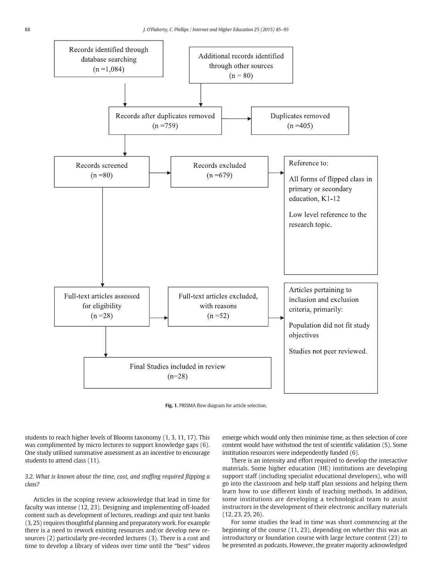<span id="page-4-0"></span>

Fig. 1. PRISMA flow diagram for article selection.

students to reach higher levels of Blooms taxonomy (1, 3, 11, 17). This was complimented by micro lectures to support knowledge gaps (6). One study utilised summative assessment as an incentive to encourage students to attend class (11).

#### 3.2. What is known about the time, cost, and staffing required flipping a class?

Articles in the scoping review acknowledge that lead in time for faculty was intense (12, 23). Designing and implementing off-loaded content such as development of lectures, readings and quiz test banks (3, 25) requires thoughtful planning and preparatory work. For example there is a need to rework existing resources and/or develop new resources (2) particularly pre-recorded lectures (3). There is a cost and time to develop a library of videos over time until the "best" videos emerge which would only then minimise time, as then selection of core content would have withstood the test of scientific validation (5). Some institution resources were independently funded (6).

There is an intensity and effort required to develop the interactive materials. Some higher education (HE) institutions are developing support staff (including specialist educational developers), who will go into the classroom and help staff plan sessions and helping them learn how to use different kinds of teaching methods. In addition, some institutions are developing a technological team to assist instructors in the development of their electronic ancillary materials (12, 23, 25, 26).

For some studies the lead in time was short commencing at the beginning of the course (11, 23), depending on whether this was an introductory or foundation course with large lecture content (23) to be presented as podcasts. However, the greater majority acknowledged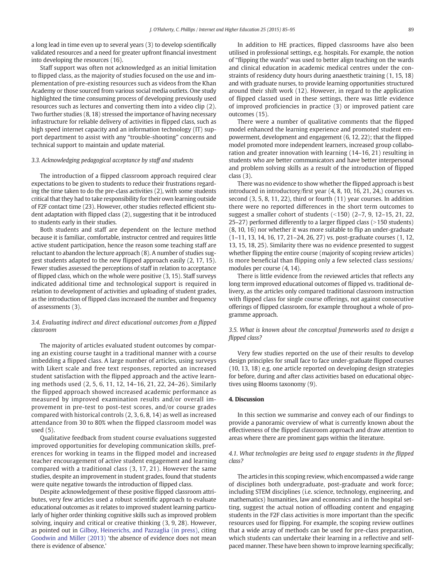a long lead in time even up to several years (3) to develop scientifically validated resources and a need for greater upfront financial investment into developing the resources (16).

Staff support was often not acknowledged as an initial limitation to flipped class, as the majority of studies focused on the use and implementation of pre-existing resources such as videos from the Khan Academy or those sourced from various social media outlets. One study highlighted the time consuming process of developing previously used resources such as lectures and converting them into a video clip (2). Two further studies (8, 18) stressed the importance of having necessary infrastructure for reliable delivery of activities in flipped class, such as high speed internet capacity and an information technology (IT) support department to assist with any "trouble-shooting" concerns and technical support to maintain and update material.

#### 3.3. Acknowledging pedagogical acceptance by staff and students

The introduction of a flipped classroom approach required clear expectations to be given to students to reduce their frustrations regarding the time taken to do the pre-class activities (2), with some students critical that they had to take responsibility for their own learning outside of F2F contact time (23). However, other studies reflected efficient student adaptation with flipped class (2), suggesting that it be introduced to students early in their studies.

Both students and staff are dependent on the lecture method because it is familiar, comfortable, instructor centred and requires little active student participation, hence the reason some teaching staff are reluctant to abandon the lecture approach (8). A number of studies suggest students adapted to the new flipped approach easily (2, 17, 15). Fewer studies assessed the perceptions of staff in relation to acceptance of flipped class, which on the whole were positive (3, 15). Staff surveys indicated additional time and technological support is required in relation to development of activities and uploading of student grades, as the introduction of flipped class increased the number and frequency of assessments (3).

### 3.4. Evaluating indirect and direct educational outcomes from a flipped classroom

The majority of articles evaluated student outcomes by comparing an existing course taught in a traditional manner with a course imbedding a flipped class. A large number of articles, using surveys with Likert scale and free text responses, reported an increased student satisfaction with the flipped approach and the active learning methods used (2, 5, 6, 11, 12, 14–16, 21, 22, 24–26). Similarly the flipped approach showed increased academic performance as measured by improved examination results and/or overall improvement in pre-test to post-test scores, and/or course grades compared with historical controls (2, 3, 6, 8, 14) as well as increased attendance from 30 to 80% when the flipped classroom model was used (5).

Qualitative feedback from student course evaluations suggested improved opportunities for developing communication skills, preferences for working in teams in the flipped model and increased teacher encouragement of active student engagement and learning compared with a traditional class (3, 17, 21). However the same studies, despite an improvement in student grades, found that students were quite negative towards the introduction of flipped class.

Despite acknowledgement of these positive flipped classroom attributes, very few articles used a robust scientific approach to evaluate educational outcomes as it relates to improved student learning particularly of higher order thinking cognitive skills such as improved problem solving, inquiry and critical or creative thinking (3, 9, 28). However, as pointed out in [Gilboy, Heinerichs, and Pazzaglia \(in press\),](#page-11-0) citing [Goodwin and Miller \(2013\)](#page-11-0) 'the absence of evidence does not mean there is evidence of absence.'

In addition to HE practices, flipped classrooms have also been utilised in professional settings, e.g. hospitals. For example, the notion of "flipping the wards" was used to better align teaching on the wards and clinical education in academic medical centres under the constraints of residency duty hours during anaesthetic training (1, 15, 18) and with graduate nurses, to provide learning opportunities structured around their shift work (12). However, in regard to the application of flipped classed used in these settings, there was little evidence of improved proficiencies in practice (3) or improved patient care outcomes (15).

There were a number of qualitative comments that the flipped model enhanced the learning experience and promoted student empowerment, development and engagement (6, 12, 22); that the flipped model promoted more independent learners, increased group collaboration and greater innovation with learning (14–16, 21) resulting in students who are better communicators and have better interpersonal and problem solving skills as a result of the introduction of flipped class (3).

There was no evidence to show whether the flipped approach is best introduced in introductory/first year (4, 8, 10, 16, 21, 24,) courses vs. second (3, 5, 8, 11, 22), third or fourth (11) year courses. In addition there were no reported differences in the short term outcomes to suggest a smaller cohort of students  $($ <150)  $(2–7, 9, 12–15, 21, 22,$ 25–27) performed differently to a larger flipped class  $(>150$  students) (8, 10, 16) nor whether it was more suitable to flip an under-graduate (1–11, 13, 14, 16, 17, 21–24, 26, 27) vs. post-graduate courses (1, 12, 13, 15, 18, 25). Similarity there was no evidence presented to suggest whether flipping the entire course (majority of scoping review articles) is more beneficial than flipping only a few selected class sessions/ modules per course (4, 14).

There is little evidence from the reviewed articles that reflects any long term improved educational outcomes of flipped vs. traditional delivery, as the articles only compared traditional classroom instruction with flipped class for single course offerings, not against consecutive offerings of flipped classroom, for example throughout a whole of programme approach.

#### 3.5. What is known about the conceptual frameworks used to design a flipped class?

Very few studies reported on the use of their results to develop design principles for small face to face under-graduate flipped courses (10, 13, 18) e.g. one article reported on developing design strategies for before, during and after class activities based on educational objectives using Blooms taxonomy (9).

#### 4. Discussion

In this section we summarise and convey each of our findings to provide a panoramic overview of what is currently known about the effectiveness of the flipped classroom approach and draw attention to areas where there are prominent gaps within the literature.

#### 4.1. What technologies are being used to engage students in the flipped class?

The articles in this scoping review, which encompassed a wide range of disciplines both undergraduate, post-graduate and work force; including STEM disciplines (i.e. science, technology, engineering, and mathematics) humanities, law and economics and in the hospital setting, suggest the actual notion of offloading content and engaging students in the F2F class activities is more important than the specific resources used for flipping. For example, the scoping review outlines that a wide array of methods can be used for pre-class preparation, which students can undertake their learning in a reflective and selfpaced manner. These have been shown to improve learning specifically;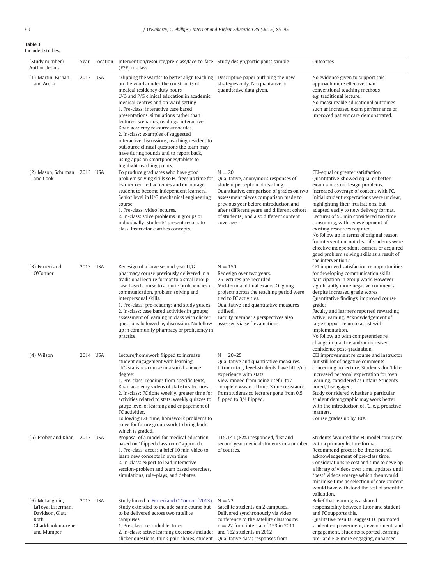#### <span id="page-6-0"></span>Table 3 Included studies.

| (Study number)<br>Author details                                                                     | Year | Location | Intervention/resource/pre-class/face-to-face Study design/participants sample<br>(F2F) in-class                                                                                                                                                                                                                                                                                                                                                                                                                                                                                                                                    |                                                                                                                                                                                                                                                                                                                         | Outcomes                                                                                                                                                                                                                                                                                                                                                                                                                                                                                                                                                                                                         |
|------------------------------------------------------------------------------------------------------|------|----------|------------------------------------------------------------------------------------------------------------------------------------------------------------------------------------------------------------------------------------------------------------------------------------------------------------------------------------------------------------------------------------------------------------------------------------------------------------------------------------------------------------------------------------------------------------------------------------------------------------------------------------|-------------------------------------------------------------------------------------------------------------------------------------------------------------------------------------------------------------------------------------------------------------------------------------------------------------------------|------------------------------------------------------------------------------------------------------------------------------------------------------------------------------------------------------------------------------------------------------------------------------------------------------------------------------------------------------------------------------------------------------------------------------------------------------------------------------------------------------------------------------------------------------------------------------------------------------------------|
| (1) Martin, Farnan<br>and Arora                                                                      |      | 2013 USA | "Flipping the wards" to better align teaching<br>on the wards under the constraints of<br>medical residency duty hours<br>U/G and P/G clinical education in academic<br>medical centres and on ward setting<br>1. Pre-class: interactive case based<br>presentations, simulations rather than<br>lectures, scenarios, readings, interactive<br>Khan academy resources/modules.<br>2. In-class: examples of suggested<br>interactive discussions, teaching resident to<br>outsource clinical questions the team may<br>have during rounds and to report back,<br>using apps on smartphones/tablets to<br>highlight teaching points. | Descriptive paper outlining the new<br>strategies only. No qualitative or<br>quantitative data given.                                                                                                                                                                                                                   | No evidence given to support this<br>approach more effective than<br>conventional teaching methods<br>e.g. traditional lecture.<br>No measureable educational outcomes<br>such as increased exam performance or<br>improved patient care demonstrated.                                                                                                                                                                                                                                                                                                                                                           |
| (2) Mason, Schuman 2013 USA<br>and Cook                                                              |      |          | To produce graduates who have good<br>problem solving skills so FC frees up time for<br>learner centred activities and encourage<br>student to become independent learners.<br>Senior level in U/G mechanical engineering<br>course.<br>1. Pre-class: video lectures.<br>2. In-class: solve problems in groups or<br>individually; students' present results to<br>class. Instructor clarifies concepts.                                                                                                                                                                                                                           | $N = 20$<br>Qualitative, anonymous responses of<br>student perception of teaching.<br>Quantitative, comparison of grades on two<br>assessment pieces comparison made to<br>previous year before introduction and<br>after (different years and different cohort<br>of students) and also different content<br>coverage. | CEI-equal or greater satisfaction<br>Quantitative-showed equal or better<br>exam scores on design problems.<br>Increased coverage of content with FC.<br>Initial student expectations were unclear,<br>highlighting their frustrations, but<br>adapted easily to new delivery format.<br>Lectures of 50 min considered too time<br>consuming, with redevelopment of<br>existing resources required.<br>No follow up in terms of original reason<br>for intervention, not clear if students were<br>effective independent learners or acquired<br>good problem solving skills as a result of<br>the intervention? |
| (3) Ferreri and<br>O'Connor                                                                          |      | 2013 USA | Redesign of a large second year U/G<br>pharmacy course previously delivered in a<br>traditional lecture format to a small group<br>case based course to acquire proficiencies in<br>communication, problem solving and<br>interpersonal skills.<br>1. Pre-class: pre-readings and study guides.<br>2. In-class: case based activities in groups;<br>assessment of learning in class with clicker<br>questions followed by discussion. No follow<br>up in community pharmacy or proficiency in<br>practice.                                                                                                                         | $N = 150$<br>Redesign over two years.<br>25 lectures pre-recorded.<br>Mid-term and final exams. Ongoing<br>projects across the teaching period were<br>tied to FC activities.<br>Qualitative and quantitative measures<br>utilised.<br>Faculty member's perspectives also<br>assessed via self-evaluations.             | CEI improved satisfaction re opportunities<br>for developing communication skills,<br>participation in group work. However<br>significantly more negative comments,<br>despite increased grade scores<br>Quantitative findings, improved course<br>grades.<br>Faculty and learners reported rewarding<br>active learning. Acknowledgement of<br>large support team to assist with<br>implementation.<br>No follow up with competencies re<br>change in practice and/or increased<br>confidence post-graduation.                                                                                                  |
| $(4)$ Wilson                                                                                         |      | 2014 USA | Lecture/homework flipped to increase<br>student engagement with learning.<br>U/G statistics course in a social science<br>degree:<br>1. Pre-class: readings from specific texts,<br>Khan academy videos of statistics lectures.<br>2. In-class: FC done weekly, greater time for<br>activities related to stats, weekly quizzes to<br>gauge level of learning and engagement of<br>FC activities.<br>Following F2F time, homework problems to<br>solve for future group work to bring back<br>which is graded.                                                                                                                     | $N = 20 - 25$<br>Qualitative and quantitative measures.<br>Introductory level-students have little/no<br>experience with stats.<br>View ranged from being useful to a<br>complete waste of time. Some resistance<br>from students so lecturer gone from 0.5<br>flipped to 3/4 flipped.                                  | CEI improvement re course and instructor<br>but still lot of negative comments<br>concerning no lecture. Students don't like<br>increased personal expectation for own<br>learning, considered as unfair! Students<br>bored/disengaged.<br>Study considered whether a particular<br>student demographic may work better<br>with the introduction of FC, e.g. proactive<br>learners.<br>Course grades up by 10%.                                                                                                                                                                                                  |
| (5) Prober and Khan 2013 USA                                                                         |      |          | Proposal of a model for medical education<br>based on "flipped classroom" approach.<br>1. Pre-class: access a brief 10 min video to<br>learn new concepts in own time.<br>2. In-class: expert to lead interactive<br>session-problem and team based exercises,<br>simulations, role-plays, and debates.                                                                                                                                                                                                                                                                                                                            | 115/141 (82%) responded, first and<br>second year medical students in a number<br>of courses.                                                                                                                                                                                                                           | Students favoured the FC model compared<br>with a primary lecture format.<br>Recommend process be time neutral,<br>acknowledgement of pre-class time.<br>Considerations re cost and time to develop<br>a library of videos over time, updates until<br>"best" videos emerge which then would<br>minimise time as selection of core content<br>would have withstood the test of scientific<br>validation.                                                                                                                                                                                                         |
| (6) McLaughlin,<br>LaToya, Esserman,<br>Davidson, Glatt,<br>Roth,<br>Gharkkholona-rehe<br>and Mumper |      | 2013 USA | Study linked to Ferreri and O'Connor (2013). $N = 22$<br>Study extended to include same course but<br>to be delivered across two satellite<br>campuses.<br>1. Pre-class: recorded lectures<br>2. In-class: active learning exercises include: and 162 students in 2012<br>clicker questions, think-pair-shares, student  Qualitative data: responses from                                                                                                                                                                                                                                                                          | Satellite students on 2 campuses.<br>Delivered synchronously via video<br>conference to the satellite classrooms<br>$n = 22$ from internal of 153 in 2011                                                                                                                                                               | Belief that learning is a shared<br>responsibility between tutor and student<br>and FC supports this.<br>Qualitative results: suggest FC promoted<br>student empowerment, development, and<br>engagement. Students reported learning<br>pre- and F2F more engaging, enhanced                                                                                                                                                                                                                                                                                                                                     |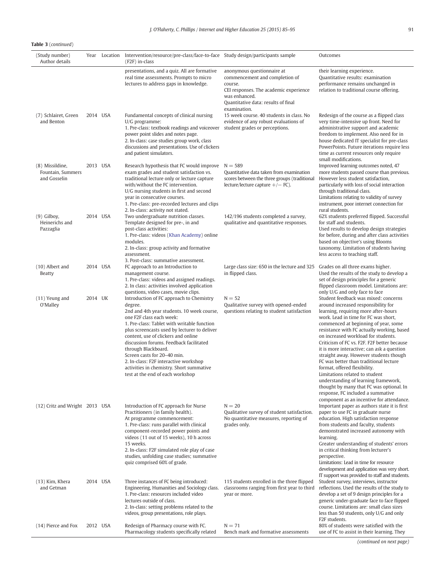#### Table 3 (continued)

| (Study number)<br>Author details                     |         | Year Location | Intervention/resource/pre-class/face-to-face Study design/participants sample<br>(F2F) in-class                                                                                                                                                                                                                                                                                                                                                                                               |                                                                                                                                                                                           | Outcomes                                                                                                                                                                                                                                                                                                                                                                                                                                                                                                                                                                                                                                                             |
|------------------------------------------------------|---------|---------------|-----------------------------------------------------------------------------------------------------------------------------------------------------------------------------------------------------------------------------------------------------------------------------------------------------------------------------------------------------------------------------------------------------------------------------------------------------------------------------------------------|-------------------------------------------------------------------------------------------------------------------------------------------------------------------------------------------|----------------------------------------------------------------------------------------------------------------------------------------------------------------------------------------------------------------------------------------------------------------------------------------------------------------------------------------------------------------------------------------------------------------------------------------------------------------------------------------------------------------------------------------------------------------------------------------------------------------------------------------------------------------------|
|                                                      |         |               | presentations, and a quiz. All are formative<br>real time assessments. Prompts to micro<br>lectures to address gaps in knowledge.                                                                                                                                                                                                                                                                                                                                                             | anonymous questionnaire at<br>commencement and completion of<br>course.<br>CEI responses. The academic experience<br>was enhanced.<br>Quantitative data: results of final<br>examination. | their learning experience.<br>Quantitative results: examination<br>performance remains unchanged in<br>relation to traditional course offering.                                                                                                                                                                                                                                                                                                                                                                                                                                                                                                                      |
| (7) Schlairet, Green<br>and Benton                   |         | 2014 USA      | Fundamental concepts of clinical nursing<br>U/G programme:<br>1. Pre-class: textbook readings and voiceover<br>power point slides and notes page.<br>2. In-class: case studies group work, class<br>discussions and presentations. Use of clickers<br>and patient simulators.                                                                                                                                                                                                                 | 15 week course. 40 students in class. No<br>evidence of any robust evaluations of<br>student grades or perceptions.                                                                       | Redesign of the course as a flipped class<br>very time-intensive up front. Need for<br>administrative support and academic<br>freedom to implement. Also need for in<br>house dedicated IT specialist for pre-class<br>PowerPoints. Future iterations require less<br>time as current resources only require<br>small modifications.                                                                                                                                                                                                                                                                                                                                 |
| (8) Missildine,<br>Fountain, Summers<br>and Gosselin |         | 2013 USA      | Research hypothesis that FC would improve<br>exam grades and student satisfaction vs.<br>traditional lecture only or lecture capture<br>with/without the FC intervention.<br>U/G nursing students in first and second<br>year in consecutive courses.<br>1. Pre-class: pre-recorded lectures and clips<br>2. In-class: activity not stated.                                                                                                                                                   | $N = 589$<br>Quantitative data taken from examination<br>scores between the three groups (traditional<br>lecture/lecture capture $+/-$ FC).                                               | Improved learning outcomes noted, 47<br>more students passed course than previous.<br>However less student satisfaction,<br>particularly with loss of social interaction<br>through traditional class.<br>Limitations relating to validity of survey<br>instrument, poor internet connection for<br>rural students.                                                                                                                                                                                                                                                                                                                                                  |
| $(9)$ Gilboy,<br>Heinerichs and<br>Pazzaglia         |         | 2014 USA      | Two undergraduate nutrition classes.<br>Template designed for pre-, in and<br>post-class activities:<br>1. Pre-class: videos (Khan Academy) online<br>modules.<br>2. In-class: group activity and formative<br>assessment.<br>3. Post-class: summative assessment.                                                                                                                                                                                                                            | 142/196 students completed a survey,<br>qualitative and quantitative responses.                                                                                                           | 62% students preferred flipped. Successful<br>for staff and students.<br>Used results to develop design strategies<br>for before, during and after class activities<br>based on objective's using Blooms<br>taxonomy. Limitation of students having<br>less access to teaching staff.                                                                                                                                                                                                                                                                                                                                                                                |
| $(10)$ Albert and<br>Beatty                          |         | 2014 USA      | FC approach to an Introduction to<br>management course.<br>1. Pre-class: videos and assigned readings.<br>2. In class: activities involved application<br>questions, video cases, movie clips.                                                                                                                                                                                                                                                                                                | Large class size: 650 in the lecture and 325<br>in flipped class.                                                                                                                         | Grades on all three exams higher.<br>Used the results of the study to develop a<br>set of design principles for a generic<br>flipped classroom model. Limitations are:<br>only U/G and only face to face                                                                                                                                                                                                                                                                                                                                                                                                                                                             |
| (11) Yeung and<br>O'Malley                           | 2014 UK |               | Introduction of FC approach to Chemistry<br>degree.<br>2nd and 4th year students. 10 week course,<br>one F2F class each week:<br>1. Pre-class: Tablet with writable function<br>plus screencasts used by lecturer to deliver<br>content, use of clickers and online<br>discussion forums. Feedback facilitated<br>through Blackboard.<br>Screen casts for 20-40 min.<br>2. In-class: F2F interactive workshop<br>activities in chemistry. Short summative<br>test at the end of each workshop | $N = 52$<br>Qualitative survey with opened-ended<br>questions relating to student satisfaction                                                                                            | Student feedback was mixed: concerns<br>around increased responsibility for<br>learning, requiring more after-hours<br>work. Lead in time for FC was short,<br>commenced at beginning of year, some<br>resistance with FC actually working, based<br>on increased workload for students.<br>Criticism of FC vs. F2F. F2F better because<br>it is more interactive; can ask a question<br>straight away. However students though<br>FC was better than traditional lecture<br>format, offered flexibility.<br>Limitations related to student<br>understanding of learning framework,<br>thought by many that FC was optional. In<br>response, FC included a summative |
| (12) Critz and Wright 2013 USA                       |         |               | Introduction of FC approach for Nurse<br>Practitioners (in family health).<br>At programme commencement:<br>1. Pre-class: runs parallel with clinical<br>component-recorded power points and<br>videos (11 out of 15 weeks), 10 h across<br>15 weeks.<br>2. In-class: F2F simulated role play of case<br>studies, unfolding case studies; summative<br>quiz comprised 60% of grade.                                                                                                           | $N = 20$<br>Qualitative survey of student satisfaction.<br>No quantitative measures, reporting of<br>grades only.                                                                         | component as an incentive for attendance.<br>Important paper as authors state it is first<br>paper to use FC in graduate nurse<br>education. High satisfaction response<br>from students and faculty, students<br>demonstrated increased autonomy with<br>learning.<br>Greater understanding of students' errors<br>in critical thinking from lecturer's<br>perspective.<br>Limitations: Lead in time for resource<br>development and application was very short.<br>IT support was provided to staff and students.                                                                                                                                                  |
| (13) Kim, Khera<br>and Getman                        |         | 2014 USA      | Three instances of FC being introduced:<br>Engineering, Humanities and Sociology class.<br>1. Pre-class: resources included video<br>lectures outside of class.<br>2. In-class: setting problems related to the<br>videos, group presentations, role plays.                                                                                                                                                                                                                                   | 115 students enrolled in the three flipped<br>classrooms ranging from first year to third<br>year or more.                                                                                | Student survey, interviews, instructor<br>reflections. Used the results of the study to<br>develop a set of 9 design principles for a<br>generic under-graduate face to face flipped<br>course. Limitations are: small class sizes<br>less than 50 students, only U/G and only<br>F <sub>2F</sub> students.                                                                                                                                                                                                                                                                                                                                                          |
| (14) Pierce and Fox                                  |         | 2012 USA      | Redesign of Pharmacy course with FC.<br>Pharmacology students specifically related                                                                                                                                                                                                                                                                                                                                                                                                            | $N = 71$<br>Bench mark and formative assessments                                                                                                                                          | 80% of students were satisfied with the<br>use of FC to assist in their learning. They                                                                                                                                                                                                                                                                                                                                                                                                                                                                                                                                                                               |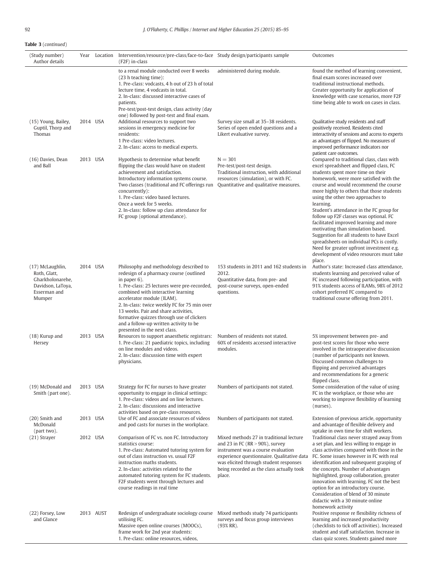#### Table 3 (continued)

| (Study number)<br>Author details                                                                    |           | Year Location Intervention/resource/pre-class/face-to-face Study design/participants sample<br>(F2F) in-class                                                                                                                                                                                                                                                                                                                         |                                                                                                                                                                                                                                                                      | Outcomes                                                                                                                                                                                                                                                                                                                                                                                                                                                                                                                                                                                                                                                                     |
|-----------------------------------------------------------------------------------------------------|-----------|---------------------------------------------------------------------------------------------------------------------------------------------------------------------------------------------------------------------------------------------------------------------------------------------------------------------------------------------------------------------------------------------------------------------------------------|----------------------------------------------------------------------------------------------------------------------------------------------------------------------------------------------------------------------------------------------------------------------|------------------------------------------------------------------------------------------------------------------------------------------------------------------------------------------------------------------------------------------------------------------------------------------------------------------------------------------------------------------------------------------------------------------------------------------------------------------------------------------------------------------------------------------------------------------------------------------------------------------------------------------------------------------------------|
|                                                                                                     |           | to a renal module conducted over 8 weeks<br>(23 h teaching time):<br>1. Pre-class: vodcasts, 4 h out of 23 h of total<br>lecture time, 4 vodcasts in total.<br>2. In-class: discussed interactive cases of<br>patients.<br>Pre-test/post-test design, class activity (day<br>one) followed by post-test and final exam.                                                                                                               | administered during module.                                                                                                                                                                                                                                          | found the method of learning convenient,<br>final exam scores increased over<br>traditional instructional methods.<br>Greater opportunity for application of<br>knowledge with case scenarios, more F2F<br>time being able to work on cases in class.                                                                                                                                                                                                                                                                                                                                                                                                                        |
| (15) Young, Bailey,<br>Guptil, Thorp and<br>Thomas                                                  | 2014 USA  | Additional resources to support two<br>sessions in emergency medicine for<br>residents:<br>1 Pre-class: video lectures.<br>2. In-class: access to medical experts.                                                                                                                                                                                                                                                                    | Survey size small at 35-38 residents.<br>Series of open ended questions and a<br>Likert evaluative survey.                                                                                                                                                           | Qualitative study residents and staff<br>positively received. Residents cited<br>interactivity of sessions and access to experts<br>as advantages of flipped. No measures of<br>improved performance indicators nor<br>patient care outcomes.                                                                                                                                                                                                                                                                                                                                                                                                                                |
| (16) Davies, Dean<br>and Ball                                                                       | 2013 USA  | Hypothesis to determine what benefit<br>flipping the class would have on student<br>achievement and satisfaction.<br>Introductory information systems course.<br>Two classes (traditional and FC offerings run<br>concurrently):<br>1. Pre-class: video based lectures.<br>Once a week for 5 weeks.<br>2. In-class: follow up class attendance for<br>FC group (optional attendance).                                                 | $N = 301$<br>Pre-test/post-test design.<br>Traditional instruction, with additional<br>resources (simulation), or with FC.<br>Quantitative and qualitative measures.                                                                                                 | Compared to traditional class, class with<br>excel spreadsheet and flipped class, FC<br>students spent more time on their<br>homework, were more satisfied with the<br>course and would recommend the course<br>more highly to others that those students<br>using the other two approaches to<br>learning.<br>Student's attendance in the FC group for<br>follow up F2F classes was optional. FC<br>facilitated improved learning and more<br>motivating than simulation based.<br>Suggestion for all students to have Excel<br>spreadsheets on individual PCs is costly.<br>Need for greater upfront investment e.g.<br>development of video resources must take<br>place. |
| (17) McLaughlin,<br>Roth, Glatt,<br>Gharkholonarehe,<br>Davidson, LaToya,<br>Esserman and<br>Mumper | 2014 USA  | Philosophy and methodology described to<br>redesign of a pharmacy course (outlined<br>in paper 6).<br>1. Pre-class: 25 lectures were pre-recorded,<br>combined with interactive learning<br>accelerator module (ILAM).<br>2. In-class: twice weekly FC for 75 min over<br>13 weeks. Pair and share activities,<br>formative quizzes through use of clickers<br>and a follow-up written activity to be<br>presented in the next class. | 153 students in 2011 and 162 students in<br>2012.<br>Quantitative data, from pre- and<br>post-course surveys, open-ended<br>questions.                                                                                                                               | Author's state: Increased class attendance,<br>students learning and perceived value of<br>FC increased following participation, with<br>91% students access of ILAMs, 98% of 2012<br>cohort preferred FC compared to<br>traditional course offering from 2011.                                                                                                                                                                                                                                                                                                                                                                                                              |
| (18) Kurup and<br>Hersey                                                                            | 2013 USA  | Resources to support anaesthetic registrars:<br>1. Pre-class: 21 paediatric topics, including<br>on line modules and videos.<br>2. In-class: discussion time with expert<br>physicians.                                                                                                                                                                                                                                               | Numbers of residents not stated.<br>60% of residents accessed interactive<br>modules.                                                                                                                                                                                | 5% improvement between pre- and<br>post-test scores for those who were<br>involved in the intraoperative discussion<br>(number of participants not known.<br>Discussed common challenges to<br>flipping and perceived advantages<br>and recommendations for a generic<br>flipped class.                                                                                                                                                                                                                                                                                                                                                                                      |
| (19) McDonald and<br>Smith (part one).                                                              | 2013 USA  | Strategy for FC for nurses to have greater<br>opportunity to engage in clinical settings:<br>1. Pre-class: videos and on line lectures.<br>2. In-class: discussions and interactive<br>activities based on pre-class resources.                                                                                                                                                                                                       | Numbers of participants not stated.                                                                                                                                                                                                                                  | Some consideration of the value of using<br>FC in the workplace, or those who are<br>working to improve flexibility of learning<br>(nurses).                                                                                                                                                                                                                                                                                                                                                                                                                                                                                                                                 |
| $(20)$ Smith and<br>McDonald<br>(part two).                                                         | 2013 USA  | Use of FC and associate resources of videos<br>and pod casts for nurses in the workplace.                                                                                                                                                                                                                                                                                                                                             | Numbers of participants not stated.                                                                                                                                                                                                                                  | Extension of previous article, opportunity<br>and advantage of flexible delivery and<br>uptake in own time for shift workers.                                                                                                                                                                                                                                                                                                                                                                                                                                                                                                                                                |
| (21) Strayer                                                                                        | 2012 USA  | Comparison of FC vs. non FC. Introductory<br>statistics course:<br>1. Pre-class: Automated tutoring system for<br>out of class instruction vs. usual F2F<br>instruction maths students.<br>2. In-class: activities related to the<br>automated tutoring system for FC students.<br>F2F students went through lectures and<br>course readings in real time                                                                             | Mixed methods 27 in traditional lecture<br>and 23 in FC ( $RR > 90\%$ ), survey<br>instrument was a course evaluation<br>experience questionnaire. Qualitative data<br>was elicited through student responses<br>being recorded as the class actually took<br>place. | Traditional class never strayed away from<br>a set plan, and less willing to engage in<br>class activities compared with those in the<br>FC. Some issues however in FC with real<br>identification and subsequent grasping of<br>the concepts. Number of advantages<br>highlighted, group collaboration, greater<br>innovation with learning. FC not the best<br>option for an introductory course.<br>Consideration of blend of 30 minute<br>didactic with a 30 minute online<br>homework activity                                                                                                                                                                          |
| (22) Forsey, Low<br>and Glance                                                                      | 2013 AUST | Redesign of undergraduate sociology course<br>utilising FC.<br>Massive open online courses (MOOCs),<br>frame work for 2nd year students:<br>1. Pre-class: online resources, videos,                                                                                                                                                                                                                                                   | Mixed methods study 74 participants<br>surveys and focus group interviews<br>$(93%RR)$ .                                                                                                                                                                             | Positive response re flexibility richness of<br>learning and increased productivity<br>(checklists to tick off activities). Increased<br>student and staff satisfaction. Increase in<br>class quiz scores. Students gained more                                                                                                                                                                                                                                                                                                                                                                                                                                              |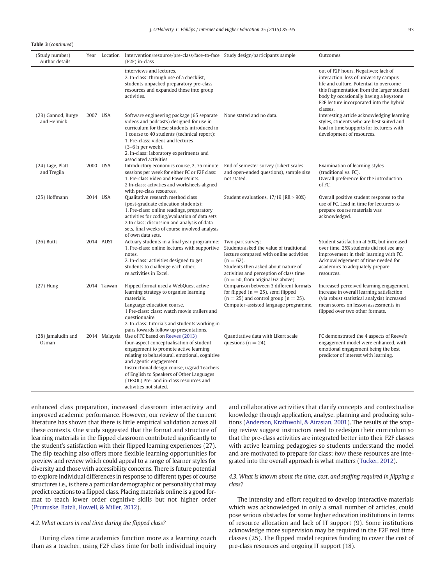#### Table 3 (continued)

| (Study number)<br>Author details  |               | Year Location Intervention/resource/pre-class/face-to-face Study design/participants sample<br>(F2F) in-class                                                                                                                                                                                                                                                       |                                                                                                                                                                                                                                                 | Outcomes                                                                                                                                                                                                                                                                  |
|-----------------------------------|---------------|---------------------------------------------------------------------------------------------------------------------------------------------------------------------------------------------------------------------------------------------------------------------------------------------------------------------------------------------------------------------|-------------------------------------------------------------------------------------------------------------------------------------------------------------------------------------------------------------------------------------------------|---------------------------------------------------------------------------------------------------------------------------------------------------------------------------------------------------------------------------------------------------------------------------|
|                                   |               | interviews and lectures.<br>2. In-class: through use of a checklist,<br>students unpacked preparatory pre-class<br>resources and expanded these into group<br>activities.                                                                                                                                                                                           |                                                                                                                                                                                                                                                 | out of F2F hours. Negatives; lack of<br>interaction, loss of university campus<br>life and culture. Potential to overcome<br>this fragmentation from the larger student<br>body by occasionally having a keystone<br>F2F lecture incorporated into the hybrid<br>classes. |
| (23) Gannod, Burge<br>and Helmick | 2007 USA      | Software engineering package (65 separate<br>videos and podcasts) designed for use in<br>curriculum for these students introduced in<br>1 course to 40 students (technical report):<br>1. Pre-class: videos and lectures<br>$(3-6 h)$ per week).<br>2. In-class: laboratory experiments and<br>associated activities                                                | None stated and no data.                                                                                                                                                                                                                        | Interesting article acknowledging learning<br>styles, students who are best suited and<br>lead in time/supports for lecturers with<br>development of resources.                                                                                                           |
| (24) Lage, Platt<br>and Tregila   | 2000 USA      | Introductory economics course, 2, 75 minute<br>sessions per week for either FC or F2F class:<br>1. Pre-class Video and PowerPoints.<br>2 In-class: activities and worksheets aligned<br>with pre-class resources.                                                                                                                                                   | End of semester survey (Likert scales<br>and open-ended questions), sample size<br>not stated.                                                                                                                                                  | Examination of learning styles<br>(traditional vs. FC).<br>Overall preference for the introduction<br>of FC.                                                                                                                                                              |
| (25) Hoffmann                     | 2014 USA      | Qualitative research method class<br>(post-graduate education students):<br>1. Pre-class: online readings, preparatory<br>activities for coding/evaluation of data sets<br>2 In class: discussion and analysis of data<br>sets, final weeks of course involved analysis<br>of own data sets.                                                                        | Student evaluations, $17/19$ (RR $> 90\%$ )                                                                                                                                                                                                     | Overall positive student response to the<br>use of FC. Lead in time for lecturers to<br>prepare course materials was<br>acknowledged.                                                                                                                                     |
| $(26)$ Butts                      | 2014 AUST     | Actuary students in a final year programme:<br>1. Pre-class: online lectures with supportive<br>notes.<br>2. In-class: activities designed to get<br>students to challenge each other,<br>re activities in Excel.                                                                                                                                                   | Two-part survey:<br>Students asked the value of traditional<br>lecture compared with online activities<br>$(n = 62)$ .<br>Students then asked about nature of<br>activities and perception of class time<br>$(n = 50, from original 62 above).$ | Student satisfaction at 50%, but increased<br>over time, 25% students did not see any<br>improvement in their learning with FC.<br>Acknowledgement of time needed for<br>academics to adequately prepare<br>resources.                                                    |
| $(27)$ Hung                       | 2014 Taiwan   | Flipped format used a WebQuest active<br>learning strategy to organise learning<br>materials.<br>Language education course.<br>1 Pre-class: class: watch movie trailers and<br>questionnaire.<br>2. In-class: tutorials and students working in<br>pairs towards follow up presentations.                                                                           | Comparison between 3 different formats<br>for flipped ( $n = 25$ ), semi flipped<br>$(n = 25)$ and control group $(n = 25)$ .<br>Computer-assisted language programme.                                                                          | Increased perceived learning engagement,<br>increase in overall learning satisfaction<br>(via robust statistical analysis) increased<br>mean scores on lesson assessments in<br>flipped over two other formats.                                                           |
| (28) Jamaludin and<br>Osman       | 2014 Malaysia | Use of FC based on Reeves (2013)<br>four-aspect conceptualisation of student<br>engagement to promote active learning<br>relating to behavioural, emotional, cognitive<br>and agentic engagement.<br>Instructional design course, u/grad Teachers<br>of English to Speakers of Other Languages<br>(TESOL).Pre- and in-class resources and<br>activities not stated. | Quantitative data with Likert scale<br>questions ( $n = 24$ ).                                                                                                                                                                                  | FC demonstrated the 4 aspects of Reeve's<br>engagement model were enhanced, with<br>emotional engagement being the best<br>predictor of interest with learning.                                                                                                           |

enhanced class preparation, increased classroom interactivity and improved academic performance. However, our review of the current literature has shown that there is little empirical validation across all these contexts. One study suggested that the format and structure of learning materials in the flipped classroom contributed significantly to the student's satisfaction with their flipped learning experiences (27). The flip teaching also offers more flexible learning opportunities for preview and review which could appeal to a range of learner styles for diversity and those with accessibility concerns. There is future potential to explore individual differences in response to different types of course structures i.e., is there a particular demographic or personality that may predict reactions to a flipped class. Placing materials online is a good format to teach lower order cognitive skills but not higher order [\(Prunuske, Batzli, Howell, & Miller, 2012\)](#page-11-0).

#### 4.2. What occurs in real time during the flipped class?

During class time academics function more as a learning coach than as a teacher, using F2F class time for both individual inquiry and collaborative activities that clarify concepts and contextualise knowledge through application, analyse, planning and producing solutions ([Anderson, Krathwohl, & Airasian, 2001](#page-11-0)). The results of the scoping review suggest instructors need to redesign their curriculum so that the pre-class activities are integrated better into their F2F classes with active learning pedagogies so students understand the model and are motivated to prepare for class; how these resources are integrated into the overall approach is what matters [\(Tucker, 2012\)](#page-11-0).

#### 4.3. What is known about the time, cost, and staffing required in flipping a class?

The intensity and effort required to develop interactive materials which was acknowledged in only a small number of articles, could pose serious obstacles for some higher education institutions in terms of resource allocation and lack of IT support (9). Some institutions acknowledge more supervision may be required in the F2F real time classes (25). The flipped model requires funding to cover the cost of pre-class resources and ongoing IT support (18).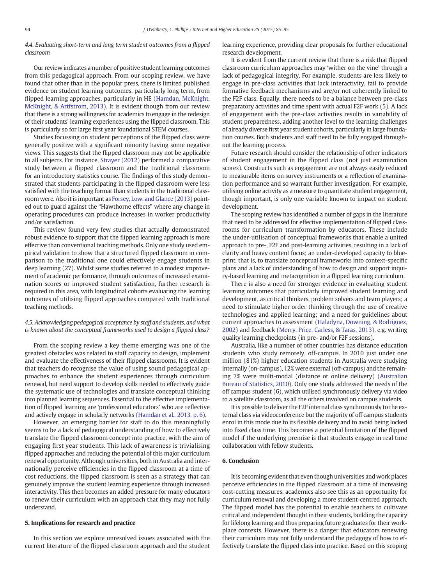4.4. Evaluating short-term and long term student outcomes from a flipped classroom

Our review indicates a number of positive student learning outcomes from this pedagogical approach. From our scoping review, we have found that other than in the popular press, there is limited published evidence on student learning outcomes, particularly long term, from flipped learning approaches, particularly in HE ([Hamdan, McKnight,](#page-11-0) [McKnight, & Artfstrom, 2013\)](#page-11-0). It is evident though from our review that there is a strong willingness for academics to engage in the redesign of their students' learning experiences using the flipped classroom. This is particularly so for large first year foundational STEM courses.

Studies focussing on student perceptions of the flipped class were generally positive with a significant minority having some negative views. This suggests that the flipped classroom may not be applicable to all subjects. For instance, [Strayer \(2012\)](#page-11-0) performed a comparative study between a flipped classroom and the traditional classroom for an introductory statistics course. The findings of this study demonstrated that students participating in the flipped classroom were less satisfied with the teaching format than students in the traditional classroom were. Also it is important as [Forsey, Low, and Glance \(2013\)](#page-11-0) pointed out to guard against the "Hawthorne effects" where any change in operating procedures can produce increases in worker productivity and/or satisfaction.

This review found very few studies that actually demonstrated robust evidence to support that the flipped learning approach is more effective than conventional teaching methods. Only one study used empirical validation to show that a structured flipped classroom in comparison to the traditional one could effectively engage students in deep learning (27). Whilst some studies referred to a modest improvement of academic performance, through outcomes of increased examination scores or improved student satisfaction, further research is required in this area, with longitudinal cohorts evaluating the learning outcomes of utilising flipped approaches compared with traditional teaching methods.

#### 4.5. Acknowledging pedagogical acceptance by staff and students, and what is known about the conceptual frameworks used to design a flipped class?

From the scoping review a key theme emerging was one of the greatest obstacles was related to staff capacity to design, implement and evaluate the effectiveness of their flipped classrooms. It is evident that teachers do recognise the value of using sound pedagogical approaches to enhance the student experiences through curriculum renewal, but need support to develop skills needed to effectively guide the systematic use of technologies and translate conceptual thinking into planned learning sequences. Essential to the effective implementation of flipped learning are 'professional educators' who are reflective and actively engage in scholarly networks ([Hamdan et al., 2013, p. 6](#page-11-0)).

However, an emerging barrier for staff to do this meaningfully seems to be a lack of pedagogical understanding of how to effectively translate the flipped classroom concept into practice, with the aim of engaging first year students. This lack of awareness is trivialising flipped approaches and reducing the potential of this major curriculum renewal opportunity. Although universities, both in Australia and internationally perceive efficiencies in the flipped classroom at a time of cost reductions, the flipped classroom is seen as a strategy that can genuinely improve the student learning experience through increased interactivity. This then becomes an added pressure for many educators to renew their curriculum with an approach that they may not fully understand.

#### 5. Implications for research and practice

In this section we explore unresolved issues associated with the current literature of the flipped classroom approach and the student learning experience, providing clear proposals for further educational research development.

It is evident from the current review that there is a risk that flipped classroom curriculum approaches may 'wither on the vine' through a lack of pedagogical integrity. For example, students are less likely to engage in pre-class activities that lack interactivity, fail to provide formative feedback mechanisms and are/or not coherently linked to the F2F class. Equally, there needs to be a balance between pre-class preparatory activities and time spent with actual F2F work (5). A lack of engagement with the pre-class activities results in variability of student preparedness, adding another level to the learning challenges of already diverse first year student cohorts, particularly in large foundation courses. Both students and staff need to be fully engaged throughout the learning process.

Future research should consider the relationship of other indicators of student engagement in the flipped class (not just examination scores). Constructs such as engagement are not always easily reduced to measurable items on survey instruments or a reflection of examination performance and so warrant further investigation. For example, utilising online activity as a measure to quantitate student engagement, though important, is only one variable known to impact on student development.

The scoping review has identified a number of gaps in the literature that need to be addressed for effective implementation of flipped classrooms for curriculum transformation by educators. These include the under-utilisation of conceptual frameworks that enable a united approach to pre-, F2F and post-learning activities, resulting in a lack of clarity and heavy content focus; an under-developed capacity to blueprint, that is, to translate conceptual frameworks into context-specific plans and a lack of understanding of how to design and support inquiry-based learning and metacognition in a flipped learning curriculum.

There is also a need for stronger evidence in evaluating student learning outcomes that particularly improved student learning and development, as critical thinkers, problem solvers and team players; a need to stimulate higher order thinking through the use of creative technologies and applied learning; and a need for guidelines about current approaches to assessment [\(Haladyna, Downing, & Rodriguez,](#page-11-0) [2002\)](#page-11-0) and feedback ([Merry, Price, Carless, & Taras, 2013\)](#page-11-0), e.g. writing quality learning checkpoints (in pre- and/or F2F sessions).

Australia, like a number of other countries has distance education students who study remotely, off-campus. In 2010 just under one million (81%) higher education students in Australia were studying internally (on-campus), 12% were external (off-campus) and the remaining 7% were multi-modal (distance or online delivery) ([Australian](#page-11-0) [Bureau of Statistics, 2010](#page-11-0)). Only one study addressed the needs of the off campus student (6), which utilised synchronously delivery via video to a satellite classroom, as all the others involved on campus students.

It is possible to deliver the F2F internal class synchronously to the external class via videoconference but the majority of off campus students enrol in this mode due to its flexible delivery and to avoid being locked into fixed class time. This becomes a potential limitation of the flipped model if the underlying premise is that students engage in real time collaboration with fellow students.

#### 6. Conclusion

It is becoming evident that even though universities and work places perceive efficiencies in the flipped classroom at a time of increasing cost-cutting measures, academics also see this as an opportunity for curriculum renewal and developing a more student-centred approach. The flipped model has the potential to enable teachers to cultivate critical and independent thought in their students, building the capacity for lifelong learning and thus preparing future graduates for their workplace contexts. However, there is a danger that educators renewing their curriculum may not fully understand the pedagogy of how to effectively translate the flipped class into practice. Based on this scoping